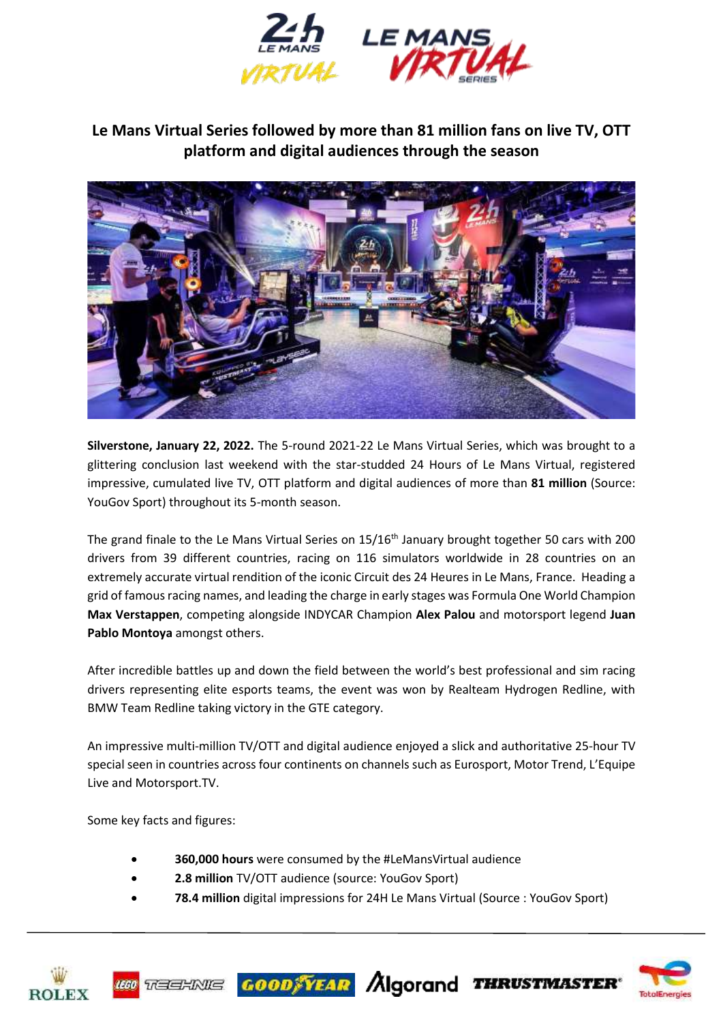

## **Le Mans Virtual Series followed by more than 81 million fans on live TV, OTT platform and digital audiences through the season**



**Silverstone, January 22, 2022.** The 5-round 2021-22 Le Mans Virtual Series, which was brought to a glittering conclusion last weekend with the star-studded 24 Hours of Le Mans Virtual, registered impressive, cumulated live TV, OTT platform and digital audiences of more than **81 million** (Source: YouGov Sport) throughout its 5-month season.

The grand finale to the Le Mans Virtual Series on 15/16<sup>th</sup> January brought together 50 cars with 200 drivers from 39 different countries, racing on 116 simulators worldwide in 28 countries on an extremely accurate virtual rendition of the iconic Circuit des 24 Heures in Le Mans, France. Heading a grid of famous racing names, and leading the charge in early stages was Formula One World Champion **Max Verstappen**, competing alongside INDYCAR Champion **Alex Palou** and motorsport legend **Juan Pablo Montoya** amongst others.

After incredible battles up and down the field between the world's best professional and sim racing drivers representing elite esports teams, the event was won by Realteam Hydrogen Redline, with BMW Team Redline taking victory in the GTE category.

An impressive multi-million TV/OTT and digital audience enjoyed a slick and authoritative 25-hour TV special seen in countries across four continents on channels such as Eurosport, Motor Trend, L'Equipe Live and Motorsport.TV.

Some key facts and figures:

- **360,000 hours** were consumed by the #LeMansVirtual audience
- **2.8 million** TV/OTT audience (source: YouGov Sport)
- **78.4 million** digital impressions for 24H Le Mans Virtual (Source : YouGov Sport)